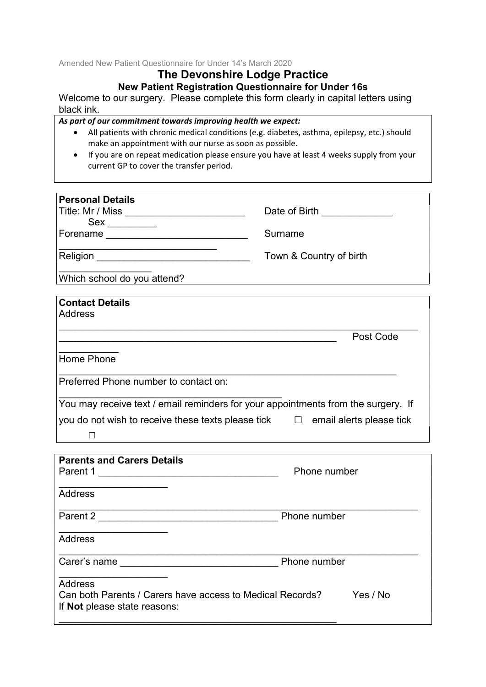Amended New Patient Questionnaire for Under 14's March 2020

# The Devonshire Lodge Practice

New Patient Registration Questionnaire for Under 16s

Welcome to our surgery. Please complete this form clearly in capital letters using black ink.

As part of our commitment towards improving health we expect:

- All patients with chronic medical conditions (e.g. diabetes, asthma, epilepsy, etc.) should make an appointment with our nurse as soon as possible.
- If you are on repeat medication please ensure you have at least 4 weeks supply from your current GP to cover the transfer period.

| <b>Personal Details</b>     |                         |
|-----------------------------|-------------------------|
| Title: Mr / Miss            | Date of Birth           |
| Sex                         |                         |
| Forename                    | Surname                 |
| Religion                    | Town & Country of birth |
| Which school do you attend? |                         |
|                             |                         |
| <b>Contact Details</b>      |                         |
| Address                     |                         |
|                             | $D - 1$ $D - 1$         |

Post Code

 $\frac{1}{2}$  ,  $\frac{1}{2}$  ,  $\frac{1}{2}$  ,  $\frac{1}{2}$  ,  $\frac{1}{2}$  ,  $\frac{1}{2}$ Home Phone

Preferred Phone number to contact on:

\_\_\_\_\_\_\_\_\_\_\_\_\_\_\_\_\_\_\_\_\_\_\_\_\_\_\_\_\_\_\_\_\_\_\_\_\_\_\_\_\_ You may receive text / email reminders for your appointments from the surgery. If you do not wish to receive these texts please tick  $\Box$  email alerts please tick  $\Box$ 

 $\_$  , and the contribution of the contribution of  $\mathcal{L}_\mathcal{A}$  , and the contribution of  $\mathcal{L}_\mathcal{A}$ 

| <b>Parents and Carers Details</b>                         |              |
|-----------------------------------------------------------|--------------|
| Parent 1                                                  | Phone number |
|                                                           |              |
| <b>Address</b>                                            |              |
| Parent 2                                                  | Phone number |
|                                                           |              |
| Address                                                   |              |
|                                                           |              |
| Carer's name                                              | Phone number |
|                                                           |              |
| Address                                                   |              |
| Can both Parents / Carers have access to Medical Records? | Yes / No     |
| If <b>Not</b> please state reasons:                       |              |
|                                                           |              |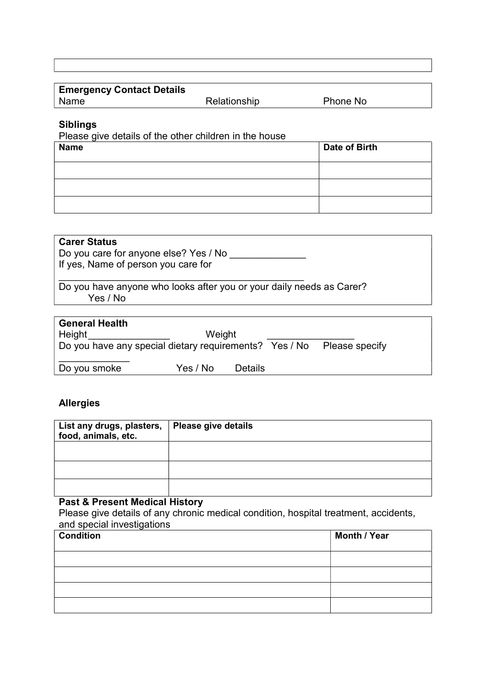| <b>Emergency Contact Details</b> |              |          |
|----------------------------------|--------------|----------|
| ∣ Name                           | Relationship | Phone No |
|                                  |              |          |

# Siblings

Please give details of the other children in the house

| <b>Name</b> | <b>Date of Birth</b> |
|-------------|----------------------|
|             |                      |
|             |                      |
|             |                      |

| <b>Carer Status</b><br>Do you care for anyone else? Yes / No<br>If yes, Name of person you care for |
|-----------------------------------------------------------------------------------------------------|
| Do you have anyone who looks after you or your daily needs as Carer?<br>Yes / No                    |
| <b>General Health</b>                                                                               |

| <b>General Health</b>                                  |          |                |                |  |
|--------------------------------------------------------|----------|----------------|----------------|--|
| Height                                                 | Weight   |                |                |  |
| Do you have any special dietary requirements? Yes / No |          |                | Please specify |  |
| Do you smoke                                           | Yes / No | <b>Details</b> |                |  |

# Allergies

| List any drugs, plasters,   Please give details<br>food, animals, etc. |  |  |  |
|------------------------------------------------------------------------|--|--|--|
|                                                                        |  |  |  |
|                                                                        |  |  |  |
|                                                                        |  |  |  |

# Past & Present Medical History

Please give details of any chronic medical condition, hospital treatment, accidents, and special investigations

| $\tilde{\phantom{a}}$<br><b>Condition</b> | <b>Month / Year</b> |
|-------------------------------------------|---------------------|
|                                           |                     |
|                                           |                     |
|                                           |                     |
|                                           |                     |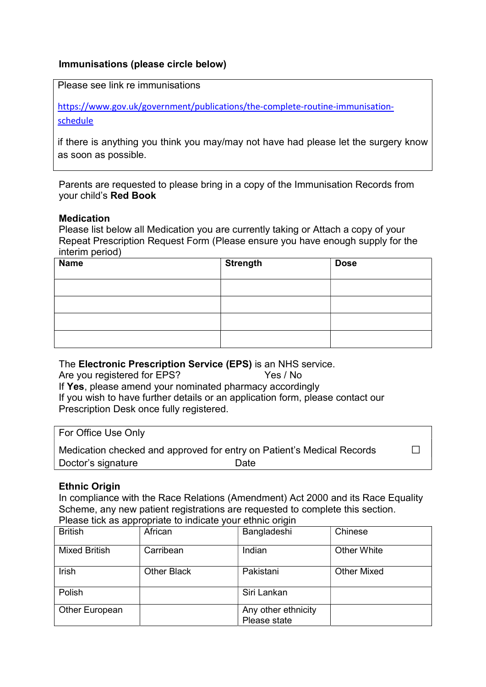# Immunisations (please circle below)

Please see link re immunisations

https://www.gov.uk/government/publications/the-complete-routine-immunisationschedule

if there is anything you think you may/may not have had please let the surgery know as soon as possible.

Parents are requested to please bring in a copy of the Immunisation Records from your child's Red Book

#### Medication

Please list below all Medication you are currently taking or Attach a copy of your Repeat Prescription Request Form (Please ensure you have enough supply for the interim period)

| <b>Name</b> | Strength | <b>Dose</b> |
|-------------|----------|-------------|
|             |          |             |
|             |          |             |
|             |          |             |
|             |          |             |

### The Electronic Prescription Service (EPS) is an NHS service.

Are you registered for EPS? Yes / No If Yes, please amend your nominated pharmacy accordingly If you wish to have further details or an application form, please contact our Prescription Desk once fully registered.

### For Office Use Only

Medication checked and approved for entry on Patient's Medical Records □ Doctor's signature Date

Ethnic Origin

In compliance with the Race Relations (Amendment) Act 2000 and its Race Equality Scheme, any new patient registrations are requested to complete this section. Please tick as appropriate to indicate your ethnic origin

| <b>British</b>       | African            | Bangladeshi                         | Chinese            |
|----------------------|--------------------|-------------------------------------|--------------------|
| <b>Mixed British</b> | Carribean          | Indian                              | <b>Other White</b> |
| Irish                | <b>Other Black</b> | Pakistani                           | <b>Other Mixed</b> |
| Polish               |                    | Siri Lankan                         |                    |
| Other European       |                    | Any other ethnicity<br>Please state |                    |